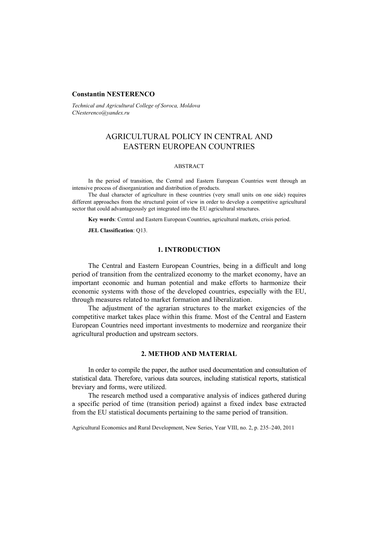## **Constantin NESTERENCO**

*Technical and Agricultural College of Soroca, Moldova CNesterenco@yandex.ru*

# AGRICULTURAL POLICY IN CENTRAL AND EASTERN EUROPEAN COUNTRIES

#### ABSTRACT

In the period of transition, the Central and Eastern European Countries went through an intensive process of disorganization and distribution of products.

The dual character of agriculture in these countries (very small units on one side) requires different approaches from the structural point of view in order to develop a competitive agricultural sector that could advantageously get integrated into the EU agricultural structures.

**Key words**: Central and Eastern European Countries, agricultural markets, crisis period.

**JEL Classification**: Q13.

### **1. INTRODUCTION**

The Central and Eastern European Countries, being in a difficult and long period of transition from the centralized economy to the market economy, have an important economic and human potential and make efforts to harmonize their economic systems with those of the developed countries, especially with the EU, through measures related to market formation and liberalization.

The adjustment of the agrarian structures to the market exigencies of the competitive market takes place within this frame. Most of the Central and Eastern European Countries need important investments to modernize and reorganize their agricultural production and upstream sectors.

# **2. METHOD AND MATERIAL**

In order to compile the paper, the author used documentation and consultation of statistical data. Therefore, various data sources, including statistical reports, statistical breviary and forms, were utilized.

The research method used a comparative analysis of indices gathered during a specific period of time (transition period) against a fixed index base extracted from the EU statistical documents pertaining to the same period of transition.

Agricultural Economics and Rural Development, New Series, Year VIII, no. 2, p. 235–240, 2011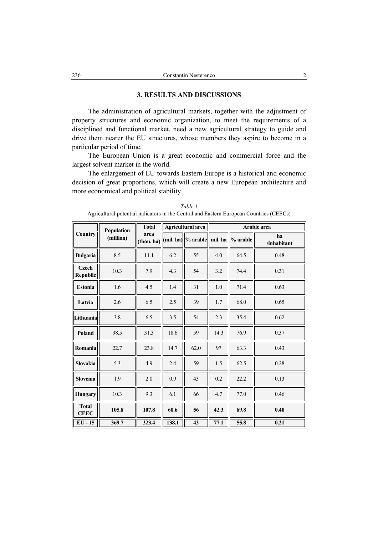### **3. RESULTS AND DISCUSSIONS**

The administration of agricultural markets, together with the adjustment of property structures and economic organization, to meet the requirements of a disciplined and functional market, need a new agricultural strategy to guide and drive them nearer the EU structures, whose members they aspire to become in a particular period of time.

The European Union is a great economic and commercial force and the largest solvent market in the world.

The enlargement of EU towards Eastern Europe is a historical and economic decision of great proportions, which will create a new European architecture and more economical and political stability.

| Country                         | Population<br>(million) | <b>Total</b><br>area<br>(thou. ha) | Agricultural area |                              | Arable area |          |                   |
|---------------------------------|-------------------------|------------------------------------|-------------------|------------------------------|-------------|----------|-------------------|
|                                 |                         |                                    |                   | $(mil. ha)$ % arable mil. ha |             | % arable | ha<br>/inhabitant |
| <b>Bulgaria</b>                 | 8.5                     | 11.1                               | 6.2               | 55                           | 4.0         | 64.5     | 0.48              |
| <b>Czech</b><br><b>Republic</b> | 10.3                    | 7.9                                | 4.3               | 54                           | 3.2         | 74.4     | 0.31              |
| <b>Estonia</b>                  | 1.6                     | 4.5                                | 1.4               | 31                           | 1.0         | 71.4     | 0.63              |
| Latvia                          | 2.6                     | 6.5                                | 2.5               | 39                           | 1.7         | 68.0     | 0.65              |
| Lithuania                       | 3.8                     | 6.5                                | 3.5               | 54                           | 2.3         | 35.4     | 0.62              |
| Poland                          | 38.5                    | 31.3                               | 18.6              | 59                           | 14.3        | 76.9     | 0.37              |
| Romania                         | 22.7                    | 23.8                               | 14.7              | 62.0                         | 97          | 63.3     | 0.43              |
| <b>Slovakia</b>                 | 5.3                     | 4.9                                | 2.4               | 59                           | 1.5         | 62.5     | 0.28              |
| <b>Slovenia</b>                 | 1.9                     | 2.0                                | 0.9               | 43                           | 0.2         | 22.2     | 0.13              |
| <b>Hungary</b>                  | 10.3                    | 9.3                                | 6.1               | 66                           | 4.7         | 77.0     | 0.46              |
| <b>Total</b><br><b>CEEC</b>     | 105.8                   | 107.8                              | 60.6              | 56                           | 42.3        | 69.8     | 0.40              |
| EU - 15                         | 369.7                   | 323.4                              | 138.1             | 43                           | 77.1        | 55.8     | 0.21              |

*Table 1*  Agricultural potential indicators in the Central and Eastern European Countries (CEECs)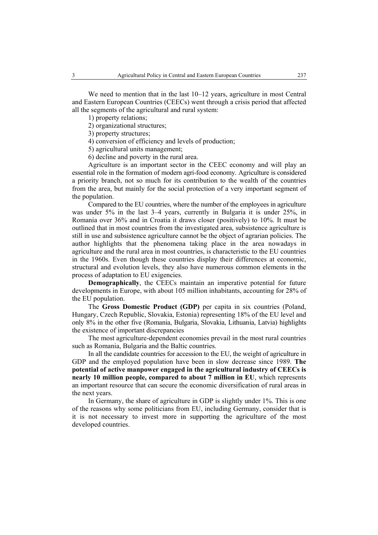We need to mention that in the last 10–12 years, agriculture in most Central and Eastern European Countries (CEECs) went through a crisis period that affected all the segments of the agricultural and rural system:

1) property relations;

2) organizational structures;

3) property structures;

4) conversion of efficiency and levels of production;

5) agricultural units management;

6) decline and poverty in the rural area.

Agriculture is an important sector in the CEEC economy and will play an essential role in the formation of modern agri-food economy. Agriculture is considered a priority branch, not so much for its contribution to the wealth of the countries from the area, but mainly for the social protection of a very important segment of the population.

Compared to the EU countries, where the number of the employees in agriculture was under 5% in the last 3–4 years, currently in Bulgaria it is under 25%, in Romania over 36% and in Croatia it draws closer (positively) to 10%. It must be outlined that in most countries from the investigated area, subsistence agriculture is still in use and subsistence agriculture cannot be the object of agrarian policies. The author highlights that the phenomena taking place in the area nowadays in agriculture and the rural area in most countries, is characteristic to the EU countries in the 1960s. Even though these countries display their differences at economic, structural and evolution levels, they also have numerous common elements in the process of adaptation to EU exigencies.

**Demographically**, the CEECs maintain an imperative potential for future developments in Europe, with about 105 million inhabitants, accounting for 28% of the EU population.

The **Gross Domestic Product (GDP)** per capita in six countries (Poland, Hungary, Czech Republic, Slovakia, Estonia) representing 18% of the EU level and only 8% in the other five (Romania, Bulgaria, Slovakia, Lithuania, Latvia) highlights the existence of important discrepancies

The most agriculture-dependent economies prevail in the most rural countries such as Romania, Bulgaria and the Baltic countries.

In all the candidate countries for accession to the EU, the weight of agriculture in GDP and the employed population have been in slow decrease since 1989. **The potential of active manpower engaged in the agricultural industry of CEECs is nearly 10 million people, compared to about 7 million in EU**, which represents an important resource that can secure the economic diversification of rural areas in the next years.

In Germany, the share of agriculture in GDP is slightly under 1%. This is one of the reasons why some politicians from EU, including Germany, consider that is it is not necessary to invest more in supporting the agriculture of the most developed countries.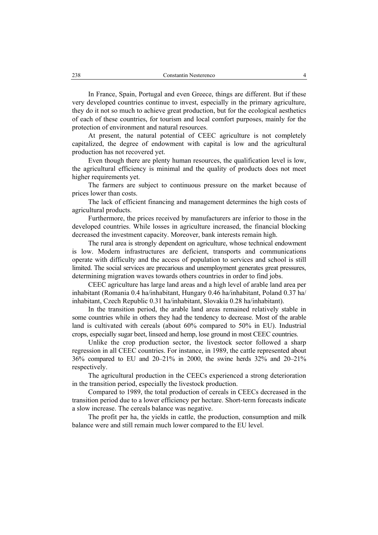In France, Spain, Portugal and even Greece, things are different. But if these very developed countries continue to invest, especially in the primary agriculture, they do it not so much to achieve great production, but for the ecological aesthetics of each of these countries, for tourism and local comfort purposes, mainly for the protection of environment and natural resources.

At present, the natural potential of CEEC agriculture is not completely capitalized, the degree of endowment with capital is low and the agricultural production has not recovered yet.

Even though there are plenty human resources, the qualification level is low, the agricultural efficiency is minimal and the quality of products does not meet higher requirements yet.

The farmers are subject to continuous pressure on the market because of prices lower than costs.

The lack of efficient financing and management determines the high costs of agricultural products.

Furthermore, the prices received by manufacturers are inferior to those in the developed countries. While losses in agriculture increased, the financial blocking decreased the investment capacity. Moreover, bank interests remain high.

The rural area is strongly dependent on agriculture, whose technical endowment is low. Modern infrastructures are deficient, transports and communications operate with difficulty and the access of population to services and school is still limited. The social services are precarious and unemployment generates great pressures, determining migration waves towards others countries in order to find jobs.

CEEC agriculture has large land areas and a high level of arable land area per inhabitant (Romania 0.4 ha/inhabitant, Hungary 0.46 ha/inhabitant, Poland 0.37 ha/ inhabitant, Czech Republic 0.31 ha/inhabitant, Slovakia 0.28 ha/inhabitant).

In the transition period, the arable land areas remained relatively stable in some countries while in others they had the tendency to decrease. Most of the arable land is cultivated with cereals (about 60% compared to 50% in EU). Industrial crops, especially sugar beet, linseed and hemp, lose ground in most CEEC countries.

Unlike the crop production sector, the livestock sector followed a sharp regression in all CEEC countries. For instance, in 1989, the cattle represented about 36% compared to EU and 20–21% in 2000, the swine herds 32% and 20–21% respectively.

The agricultural production in the CEECs experienced a strong deterioration in the transition period, especially the livestock production.

Compared to 1989, the total production of cereals in CEECs decreased in the transition period due to a lower efficiency per hectare. Short-term forecasts indicate a slow increase. The cereals balance was negative.

The profit per ha, the yields in cattle, the production, consumption and milk balance were and still remain much lower compared to the EU level.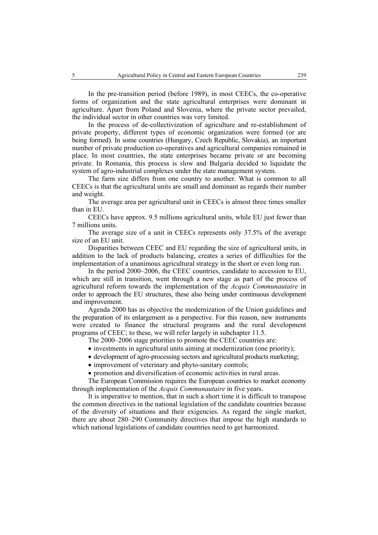In the pre-transition period (before 1989), in most CEECs, the co-operative forms of organization and the state agricultural enterprises were dominant in agriculture. Apart from Poland and Slovenia, where the private sector prevailed, the individual sector in other countries was very limited.

In the process of de-collectivization of agriculture and re-establishment of private property, different types of economic organization were formed (or are being formed). In some countries (Hungary, Czech Republic, Slovakia), an important number of private production co-operatives and agricultural companies remained in place. In most countries, the state enterprises became private or are becoming private. In Romania, this process is slow and Bulgaria decided to liquidate the system of agro-industrial complexes under the state management system.

The farm size differs from one country to another. What is common to all CEECs is that the agricultural units are small and dominant as regards their number and weight.

The average area per agricultural unit in CEECs is almost three times smaller than in EU.

CEECs have approx. 9.5 millions agricultural units, while EU just fewer than 7 millions units.

The average size of a unit in CEECs represents only 37.5% of the average size of an EU unit.

Disparities between CEEC and EU regarding the size of agricultural units, in addition to the lack of products balancing, creates a series of difficulties for the implementation of a unanimous agricultural strategy in the short or even long run.

In the period 2000–2006, the CEEC countries, candidate to accession to EU, which are still in transition, went through a new stage as part of the process of agricultural reform towards the implementation of the *Acquis Communautaire* in order to approach the EU structures, these also being under continuous development and improvement.

Agenda 2000 has as objective the modernization of the Union guidelines and the preparation of its enlargement as a perspective. For this reason, new instruments were created to finance the structural programs and the rural development programs of CEEC; to these, we will refer largely in subchapter 11.5.

The 2000–2006 stage priorities to promote the CEEC countries are:

- investments in agricultural units aiming at modernization (one priority);
- development of agro-processing sectors and agricultural products marketing;
- improvement of veterinary and phyto-sanitary controls;
- promotion and diversification of economic activities in rural areas.

The European Commission requires the European countries to market economy through implementation of the *Acquis Communautaire* in five years.

It is imperative to mention, that in such a short time it is difficult to transpose the common directives in the national legislation of the candidate countries because of the diversity of situations and their exigencies. As regard the single market, there are about 280–290 Community directives that impose the high standards to which national legislations of candidate countries need to get harmonized.